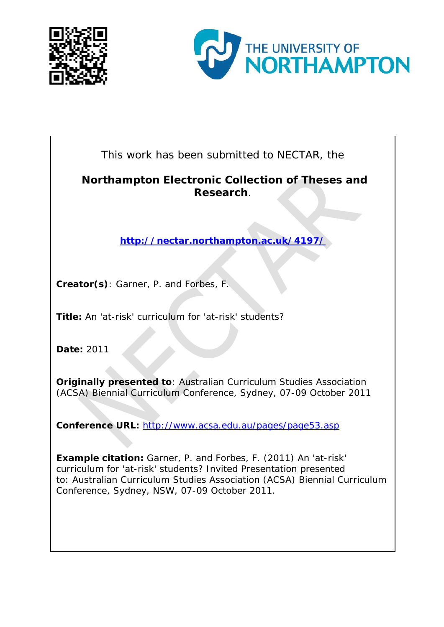



This work has been submitted to NECTAR, the

#### **Northampton Electronic Collection of Theses and Research**.

**<http://nectar.northampton.ac.uk/4197/>**

**Creator(s)**: Garner, P. and Forbes, F.

**Title:** An 'at-risk' curriculum for 'at-risk' students?

**Date:** 2011

**Originally presented to**: Australian Curriculum Studies Association (ACSA) Biennial Curriculum Conference, Sydney, 07-09 October 2011

**Conference URL:** <http://www.acsa.edu.au/pages/page53.asp>

**Example citation:** Garner, P. and Forbes, F. (2011) An 'at-risk' curriculum for 'at-risk' students? Invited Presentation presented to: *Australian Curriculum Studies Association (ACSA) Biennial Curriculum Conference, Sydney, NSW, 07-09 October 2011*.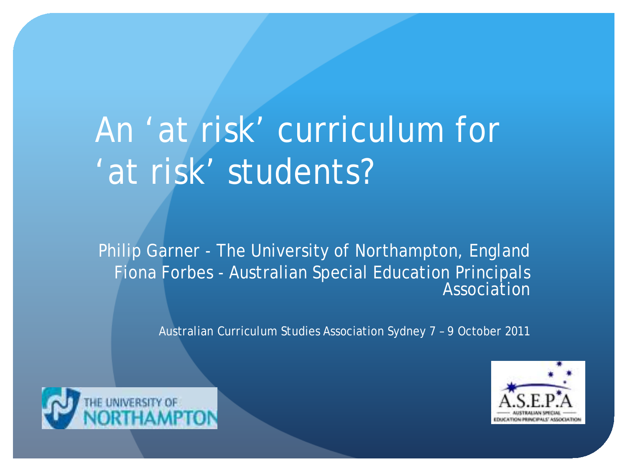# An 'at risk' curriculum for 'at risk' students?

Philip Garner - The University of Northampton, England Fiona Forbes - Australian Special Education Principals **Association** 

Australian Curriculum Studies Association Sydney 7 – 9 October 2011



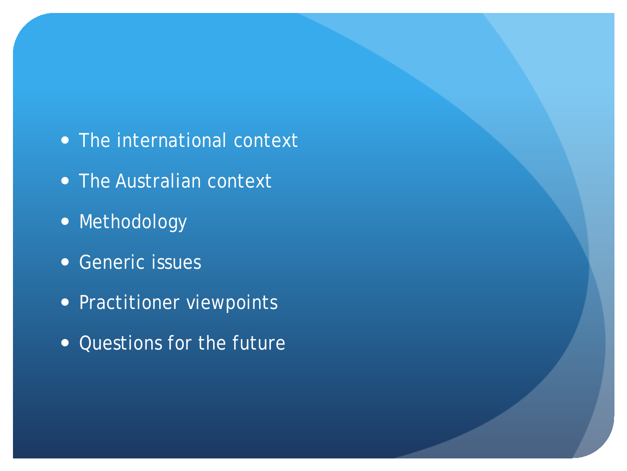- The international context
- The Australian context
- Methodology
- Generic issues
- Practitioner viewpoints
- Questions for the future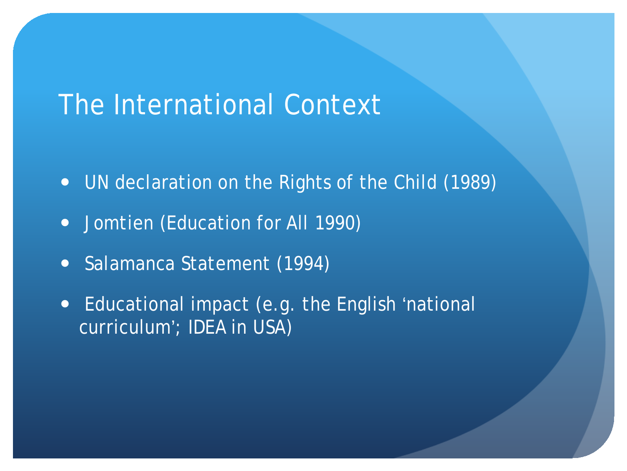# The International Context

- UN declaration on the Rights of the Child (1989)
- Jomtien (Education for All 1990)
- Salamanca Statement (1994)
- Educational impact (e.g. the English 'national curriculum'; IDEA in USA)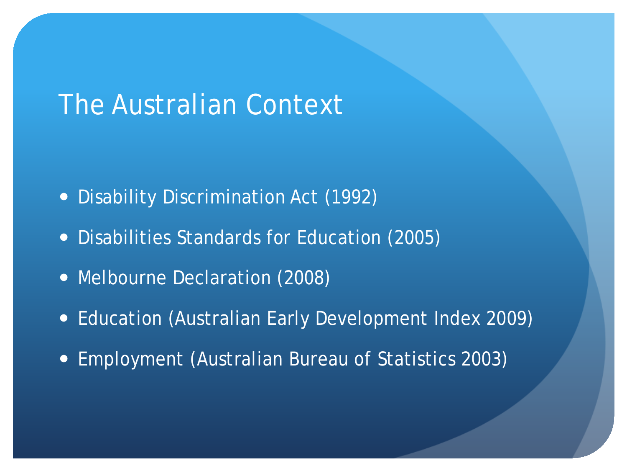# The Australian Context

- Disability Discrimination Act (1992)
- Disabilities Standards for Education (2005)
- Melbourne Declaration (2008)
- Education (Australian Early Development Index 2009)
- Employment (Australian Bureau of Statistics 2003)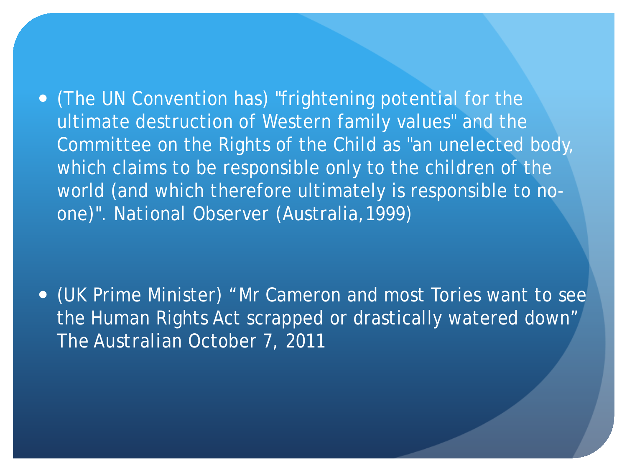(The UN Convention has) "frightening potential for the ultimate destruction of Western family values" and the Committee on the Rights of the Child as "an unelected body, which claims to be responsible only to the children of the world (and which therefore ultimately is responsible to noone)". *National Observer* (Australia,1999)

 (UK Prime Minister) "Mr Cameron and most Tories want to see the Human Rights Act scrapped or drastically watered down" *The Australian* October 7, 2011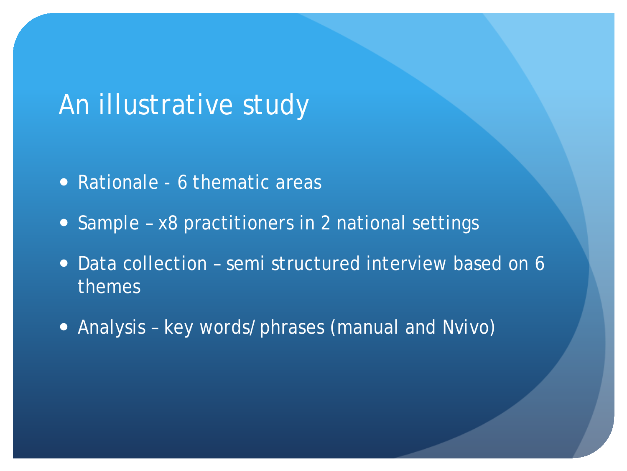# An illustrative study

- Rationale 6 thematic areas
- Sample x8 practitioners in 2 national settings
- Data collection semi structured interview based on 6 themes
- Analysis key words/phrases (manual and *Nvivo*)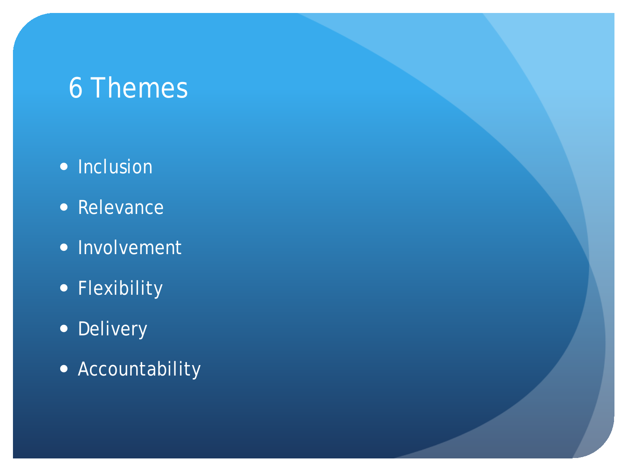# 6 Themes

- Inclusion
- Relevance
- Involvement
- **Flexibility**
- Delivery
- Accountability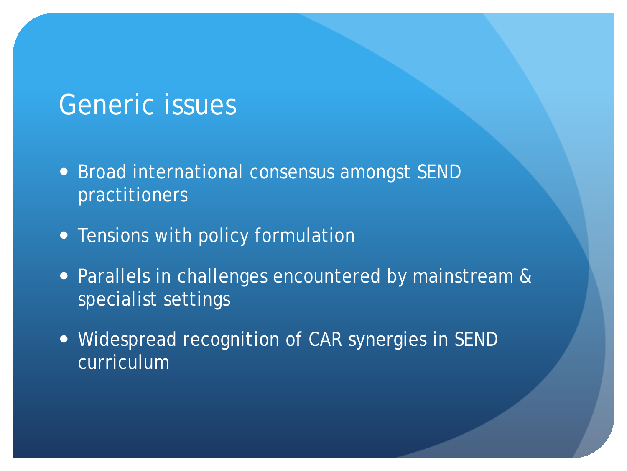### Generic issues

- Broad international consensus amongst SEND practitioners
- Tensions with policy formulation
- **Parallels in challenges encountered by mainstream &** specialist settings
- Widespread recognition of CAR synergies in SEND curriculum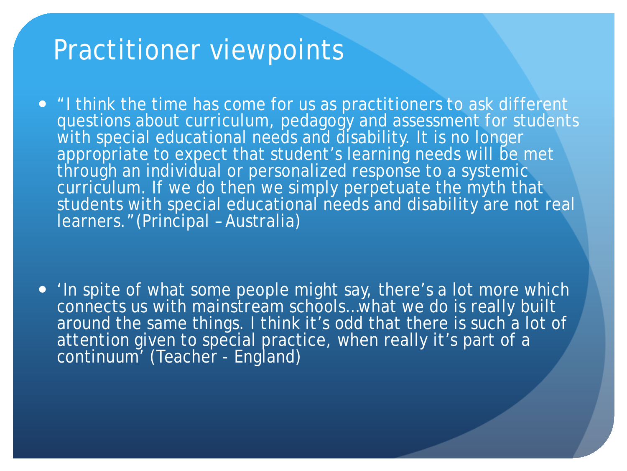#### Practitioner viewpoints

• "I think the time has come for us as practitioners to ask different questions about curriculum, pedagogy and assessment for students with special educational needs and disability. It is no longer appropriate to expect that student's learning needs will be met through an individual or personalized response to a systemic curriculum. If we do then we simply perpetuate the myth that students with special educational needs and disability are not real learners."(Principal – Australia)

 *'*In spite of what some people might say, there's a lot more which connects us with mainstream schools…what we do is really built around the same things. I think it's odd that there is such a lot of attention given to special practice, when really it's part of a continuum' (Teacher - England)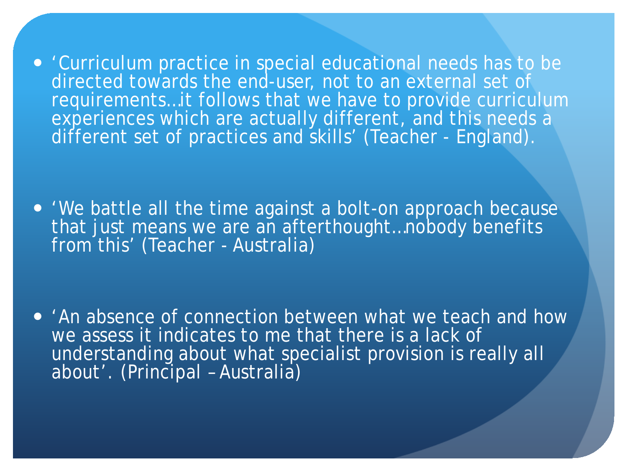'Curriculum practice in special educational needs has to be directed towards the end-user, not to an external set of requirements…it follows that we have to provide curriculum experiences which are actually different, and this needs a different set of practices and skills' (Teacher - England).

 'We battle all the time against a bolt-on approach because that just means we are an afterthought...nobody benefits from this' (Teacher - Australia)

 'An absence of connection between what we teach and how we assess it indicates to me that there is a lack of understanding about what specialist provision is really all about'. (Principal – Australia)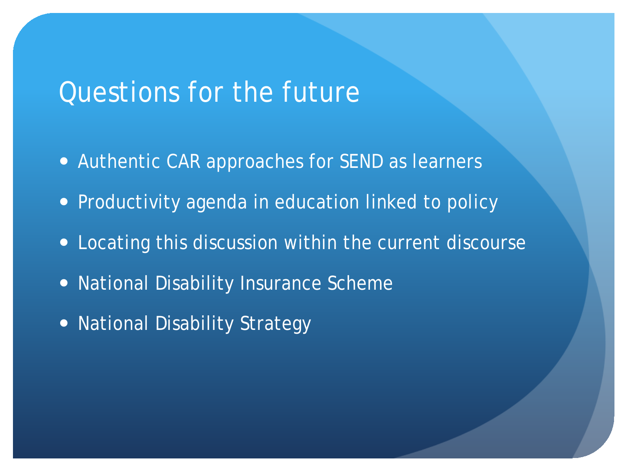#### Questions for the future

- Authentic CAR approaches for SEND as learners
- Productivity agenda in education linked to policy
- Locating this discussion within the current discourse
- National Disability Insurance Scheme
- National Disability Strategy